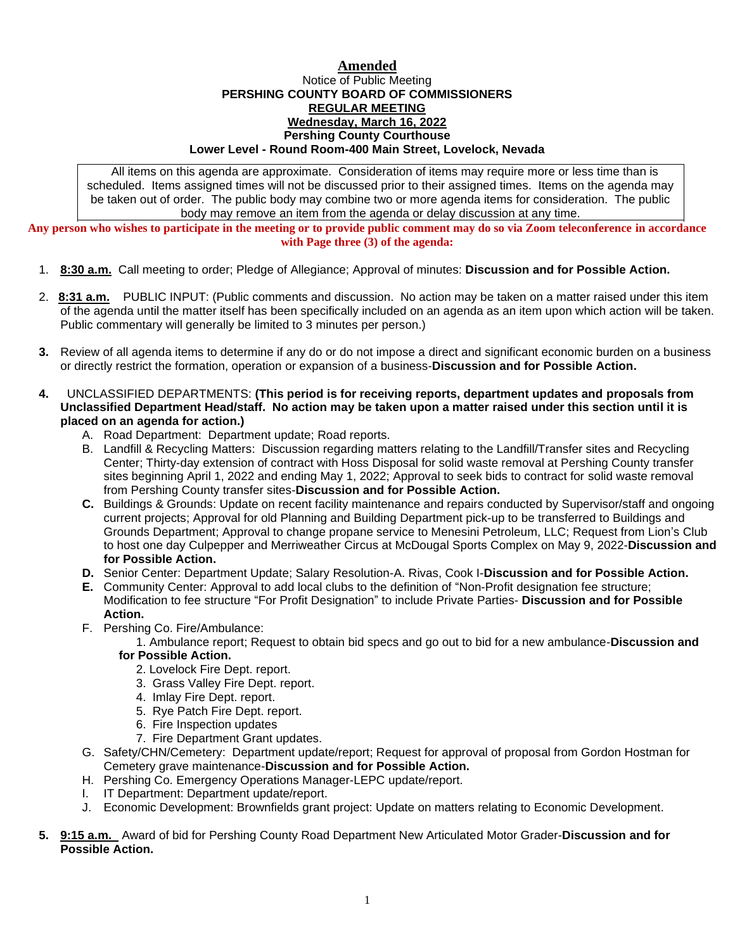## **Amended** Notice of Public Meeting **PERSHING COUNTY BOARD OF COMMISSIONERS REGULAR MEETING Wednesday, March 16, 2022 Pershing County Courthouse Lower Level - Round Room-400 Main Street, Lovelock, Nevada**

All items on this agenda are approximate. Consideration of items may require more or less time than is scheduled. Items assigned times will not be discussed prior to their assigned times. Items on the agenda may be taken out of order. The public body may combine two or more agenda items for consideration. The public body may remove an item from the agenda or delay discussion at any time.

**Any person who wishes to participate in the meeting or to provide public comment may do so via Zoom teleconference in accordance with Page three (3) of the agenda:**

- 1. **8:30 a.m.** Call meeting to order; Pledge of Allegiance; Approval of minutes: **Discussion and for Possible Action.**
- 2. **8:31 a.m.** PUBLIC INPUT: (Public comments and discussion. No action may be taken on a matter raised under this item of the agenda until the matter itself has been specifically included on an agenda as an item upon which action will be taken. Public commentary will generally be limited to 3 minutes per person.)
- **3.** Review of all agenda items to determine if any do or do not impose a direct and significant economic burden on a business or directly restrict the formation, operation or expansion of a business-**Discussion and for Possible Action.**
- **4.** UNCLASSIFIED DEPARTMENTS: **(This period is for receiving reports, department updates and proposals from Unclassified Department Head/staff. No action may be taken upon a matter raised under this section until it is placed on an agenda for action.)**
	- A. Road Department: Department update; Road reports.
	- B. Landfill & Recycling Matters: Discussion regarding matters relating to the Landfill/Transfer sites and Recycling Center; Thirty-day extension of contract with Hoss Disposal for solid waste removal at Pershing County transfer sites beginning April 1, 2022 and ending May 1, 2022; Approval to seek bids to contract for solid waste removal from Pershing County transfer sites-**Discussion and for Possible Action.**
	- **C.** Buildings & Grounds: Update on recent facility maintenance and repairs conducted by Supervisor/staff and ongoing current projects; Approval for old Planning and Building Department pick-up to be transferred to Buildings and Grounds Department; Approval to change propane service to Menesini Petroleum, LLC; Request from Lion's Club to host one day Culpepper and Merriweather Circus at McDougal Sports Complex on May 9, 2022-**Discussion and for Possible Action.**
	- **D.** Senior Center: Department Update; Salary Resolution-A. Rivas, Cook I-**Discussion and for Possible Action.**
	- **E.** Community Center: Approval to add local clubs to the definition of "Non-Profit designation fee structure; Modification to fee structure "For Profit Designation" to include Private Parties- **Discussion and for Possible Action.**
	- F. Pershing Co. Fire/Ambulance:
		- 1. Ambulance report; Request to obtain bid specs and go out to bid for a new ambulance-**Discussion and**

## **for Possible Action.**

- 2. Lovelock Fire Dept. report.
- 3. Grass Valley Fire Dept. report.
- 4. Imlay Fire Dept. report.
- 5. Rye Patch Fire Dept. report.
- 6. Fire Inspection updates
- 7. Fire Department Grant updates.
- G. Safety/CHN/Cemetery: Department update/report; Request for approval of proposal from Gordon Hostman for Cemetery grave maintenance-**Discussion and for Possible Action.**
- H. Pershing Co. Emergency Operations Manager-LEPC update/report.
- I. IT Department: Department update/report.
- J. Economic Development: Brownfields grant project: Update on matters relating to Economic Development.
- **5. 9:15 a.m.** Award of bid for Pershing County Road Department New Articulated Motor Grader-**Discussion and for Possible Action.**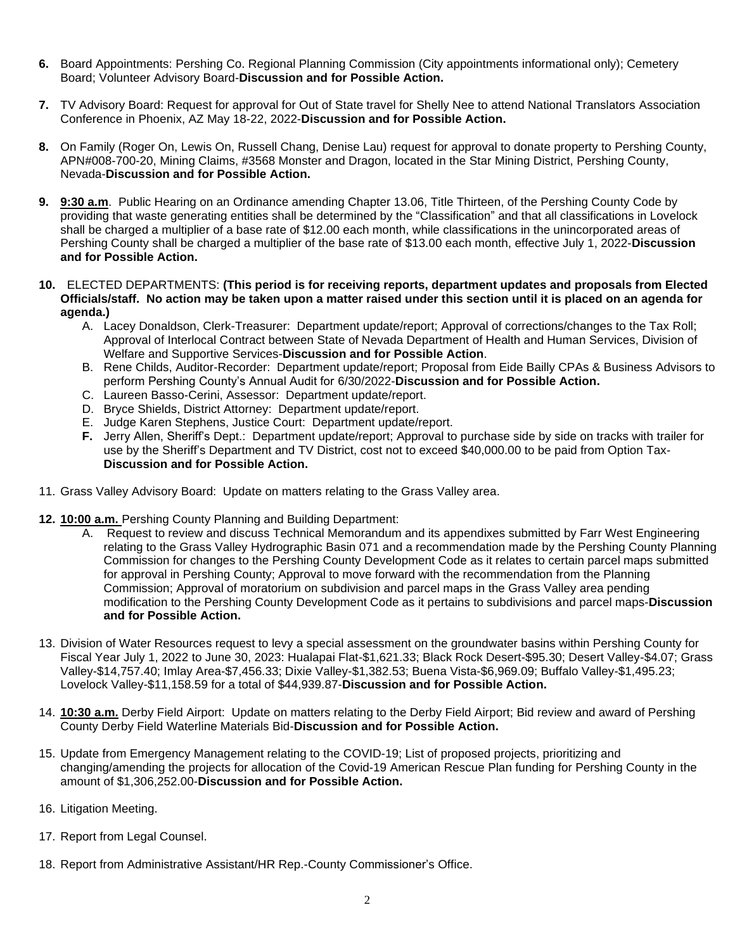- **6.** Board Appointments: Pershing Co. Regional Planning Commission (City appointments informational only); Cemetery Board; Volunteer Advisory Board-**Discussion and for Possible Action.**
- **7.** TV Advisory Board: Request for approval for Out of State travel for Shelly Nee to attend National Translators Association Conference in Phoenix, AZ May 18-22, 2022-**Discussion and for Possible Action.**
- **8.** On Family (Roger On, Lewis On, Russell Chang, Denise Lau) request for approval to donate property to Pershing County, APN#008-700-20, Mining Claims, #3568 Monster and Dragon, located in the Star Mining District, Pershing County, Nevada-**Discussion and for Possible Action.**
- **9. 9:30 a.m**. Public Hearing on an Ordinance amending Chapter 13.06, Title Thirteen, of the Pershing County Code by providing that waste generating entities shall be determined by the "Classification" and that all classifications in Lovelock shall be charged a multiplier of a base rate of \$12.00 each month, while classifications in the unincorporated areas of Pershing County shall be charged a multiplier of the base rate of \$13.00 each month, effective July 1, 2022-**Discussion and for Possible Action.**

## **10.** ELECTED DEPARTMENTS: **(This period is for receiving reports, department updates and proposals from Elected Officials/staff. No action may be taken upon a matter raised under this section until it is placed on an agenda for agenda.)**

- A. Lacey Donaldson, Clerk-Treasurer: Department update/report; Approval of corrections/changes to the Tax Roll; Approval of Interlocal Contract between State of Nevada Department of Health and Human Services, Division of Welfare and Supportive Services-**Discussion and for Possible Action**.
- B. Rene Childs, Auditor-Recorder: Department update/report; Proposal from Eide Bailly CPAs & Business Advisors to perform Pershing County's Annual Audit for 6/30/2022-**Discussion and for Possible Action.**
- C. Laureen Basso-Cerini, Assessor: Department update/report.
- D. Bryce Shields, District Attorney: Department update/report.
- E. Judge Karen Stephens, Justice Court: Department update/report.
- **F.** Jerry Allen, Sheriff's Dept.: Department update/report; Approval to purchase side by side on tracks with trailer for use by the Sheriff's Department and TV District, cost not to exceed \$40,000.00 to be paid from Option Tax-**Discussion and for Possible Action.**
- 11. Grass Valley Advisory Board: Update on matters relating to the Grass Valley area.
- **12. 10:00 a.m.** Pershing County Planning and Building Department:
	- A. Request to review and discuss Technical Memorandum and its appendixes submitted by Farr West Engineering relating to the Grass Valley Hydrographic Basin 071 and a recommendation made by the Pershing County Planning Commission for changes to the Pershing County Development Code as it relates to certain parcel maps submitted for approval in Pershing County; Approval to move forward with the recommendation from the Planning Commission; Approval of moratorium on subdivision and parcel maps in the Grass Valley area pending modification to the Pershing County Development Code as it pertains to subdivisions and parcel maps-**Discussion and for Possible Action.**
- 13. Division of Water Resources request to levy a special assessment on the groundwater basins within Pershing County for Fiscal Year July 1, 2022 to June 30, 2023: Hualapai Flat-\$1,621.33; Black Rock Desert-\$95.30; Desert Valley-\$4.07; Grass Valley-\$14,757.40; Imlay Area-\$7,456.33; Dixie Valley-\$1,382.53; Buena Vista-\$6,969.09; Buffalo Valley-\$1,495.23; Lovelock Valley-\$11,158.59 for a total of \$44,939.87-**Discussion and for Possible Action.**
- 14. **10:30 a.m.** Derby Field Airport: Update on matters relating to the Derby Field Airport; Bid review and award of Pershing County Derby Field Waterline Materials Bid-**Discussion and for Possible Action.**
- 15. Update from Emergency Management relating to the COVID-19; List of proposed projects, prioritizing and changing/amending the projects for allocation of the Covid-19 American Rescue Plan funding for Pershing County in the amount of \$1,306,252.00-**Discussion and for Possible Action.**
- 16. Litigation Meeting.
- 17. Report from Legal Counsel.
- 18. Report from Administrative Assistant/HR Rep.-County Commissioner's Office.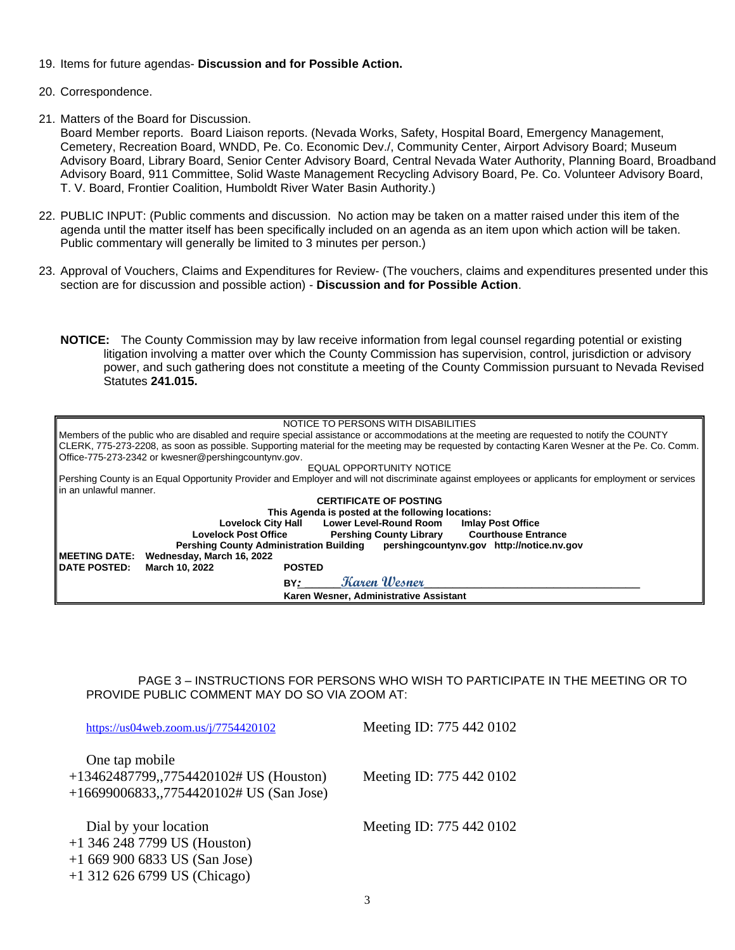- 19. Items for future agendas- **Discussion and for Possible Action.**
- 20. Correspondence.
- 21. Matters of the Board for Discussion.

Board Member reports. Board Liaison reports. (Nevada Works, Safety, Hospital Board, Emergency Management, Cemetery, Recreation Board, WNDD, Pe. Co. Economic Dev./, Community Center, Airport Advisory Board; Museum Advisory Board, Library Board, Senior Center Advisory Board, Central Nevada Water Authority, Planning Board, Broadband Advisory Board, 911 Committee, Solid Waste Management Recycling Advisory Board, Pe. Co. Volunteer Advisory Board, T. V. Board, Frontier Coalition, Humboldt River Water Basin Authority.)

- 22. PUBLIC INPUT: (Public comments and discussion. No action may be taken on a matter raised under this item of the agenda until the matter itself has been specifically included on an agenda as an item upon which action will be taken. Public commentary will generally be limited to 3 minutes per person.)
- 23. Approval of Vouchers, Claims and Expenditures for Review- (The vouchers, claims and expenditures presented under this section are for discussion and possible action) - **Discussion and for Possible Action**.
	- **NOTICE:** The County Commission may by law receive information from legal counsel regarding potential or existing litigation involving a matter over which the County Commission has supervision, control, jurisdiction or advisory power, and such gathering does not constitute a meeting of the County Commission pursuant to Nevada Revised Statutes **241.015.**

| NOTICE TO PERSONS WITH DISABILITIES                                                                                                                |  |  |
|----------------------------------------------------------------------------------------------------------------------------------------------------|--|--|
| Members of the public who are disabled and require special assistance or accommodations at the meeting are requested to notify the COUNTY          |  |  |
| CLERK, 775-273-2208, as soon as possible. Supporting material for the meeting may be requested by contacting Karen Wesner at the Pe. Co. Comm.     |  |  |
| Office-775-273-2342 or kwesner@pershingcountynv.gov.                                                                                               |  |  |
|                                                                                                                                                    |  |  |
| EQUAL OPPORTUNITY NOTICE                                                                                                                           |  |  |
| Pershing County is an Equal Opportunity Provider and Employer and will not discriminate against employees or applicants for employment or services |  |  |
| lin an unlawful manner.                                                                                                                            |  |  |
| <b>CERTIFICATE OF POSTING</b>                                                                                                                      |  |  |
|                                                                                                                                                    |  |  |
| This Agenda is posted at the following locations:                                                                                                  |  |  |
| <b>Lower Level-Round Room</b><br><b>Lovelock City Hall</b><br><b>Imlay Post Office</b>                                                             |  |  |
| <b>Pershing County Library Courthouse Entrance</b><br><b>Lovelock Post Office</b>                                                                  |  |  |
| Pershing County Administration Building   pershingcountyny.gov   http://notice.nv.gov                                                              |  |  |
| <b>IMEETING DATE:</b><br>Wednesday, March 16, 2022                                                                                                 |  |  |
|                                                                                                                                                    |  |  |
| <b>IDATE POSTED:</b><br>March 10, 2022<br><b>POSTED</b>                                                                                            |  |  |
| Karen Wesner<br>BY:                                                                                                                                |  |  |
| Karen Wesner, Administrative Assistant                                                                                                             |  |  |

PAGE 3 – INSTRUCTIONS FOR PERSONS WHO WISH TO PARTICIPATE IN THE MEETING OR TO PROVIDE PUBLIC COMMENT MAY DO SO VIA ZOOM AT:

| https://us04web.zoom.us/j/7754420102                                                                | Meeting ID: 775 442 0102 |
|-----------------------------------------------------------------------------------------------------|--------------------------|
| One tap mobile<br>+13462487799,,7754420102# US (Houston)<br>+16699006833,,7754420102# US (San Jose) | Meeting ID: 775 442 0102 |
| Dial by your location<br>$+1$ 346 248 7799 US (Houston)<br>$+16699006833$ US (San Jose)             | Meeting ID: 775 442 0102 |

+1 312 626 6799 US (Chicago)